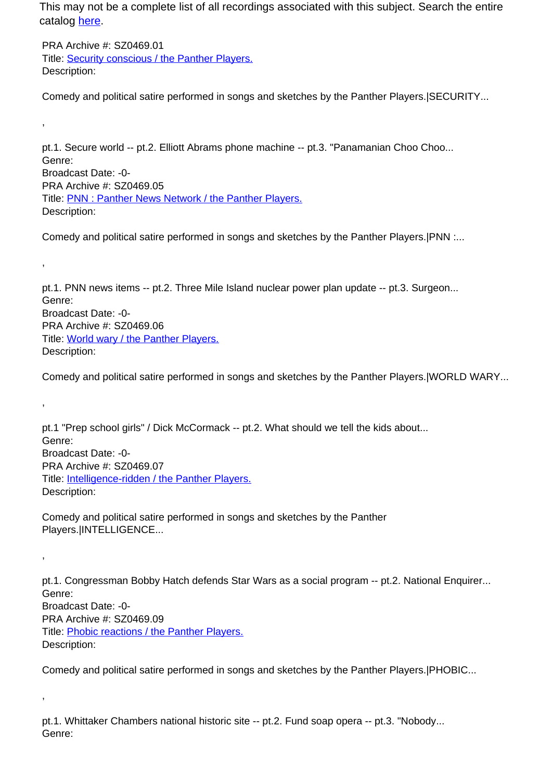This may not be a complete list of all recordings associated with this subject. Search the entire catalog [here.](http://pacificaradioarchives.org/keyword-search)

PRA Archive #: SZ0469.01 Title: Security conscious / the Panther Players. Description:

,

,

,

,

,

Comedy and political satire performed in songs and sketches by the Panther Players.|SECURITY...

pt.1. Secure world -- pt.2. Elliott Abrams phone machine -- pt.3. "Panamanian Choo Choo... Genre: Broadcast Date: -0- PRA Archive #: SZ0469.05 Title: PNN : Panther News Network / the Panther Players. Description:

Comedy and political satire performed in songs and sketches by the Panther Players.|PNN :...

pt.1. PNN news items -- pt.2. Three Mile Island nuclear power plan update -- pt.3. Surgeon... Genre: Broadcast Date: -0- PRA Archive #: SZ0469.06 Title: World wary / the Panther Players. Description:

Comedy and political satire performed in songs and sketches by the Panther Players.|WORLD WARY...

pt.1 "Prep school girls" / Dick McCormack -- pt.2. What should we tell the kids about... Genre: Broadcast Date: -0- PRA Archive #: SZ0469.07 Title: **Intelligence-ridden / the Panther Players.** Description:

Comedy and political satire performed in songs and sketches by the Panther Players.|INTELLIGENCE...

pt.1. Congressman Bobby Hatch defends Star Wars as a social program -- pt.2. National Enquirer... Genre: Broadcast Date: -0- PRA Archive #: SZ0469.09 Title: Phobic reactions / the Panther Players. Description:

Comedy and political satire performed in songs and sketches by the Panther Players.|PHOBIC...

pt.1. Whittaker Chambers national historic site -- pt.2. Fund soap opera -- pt.3. "Nobody... Genre: